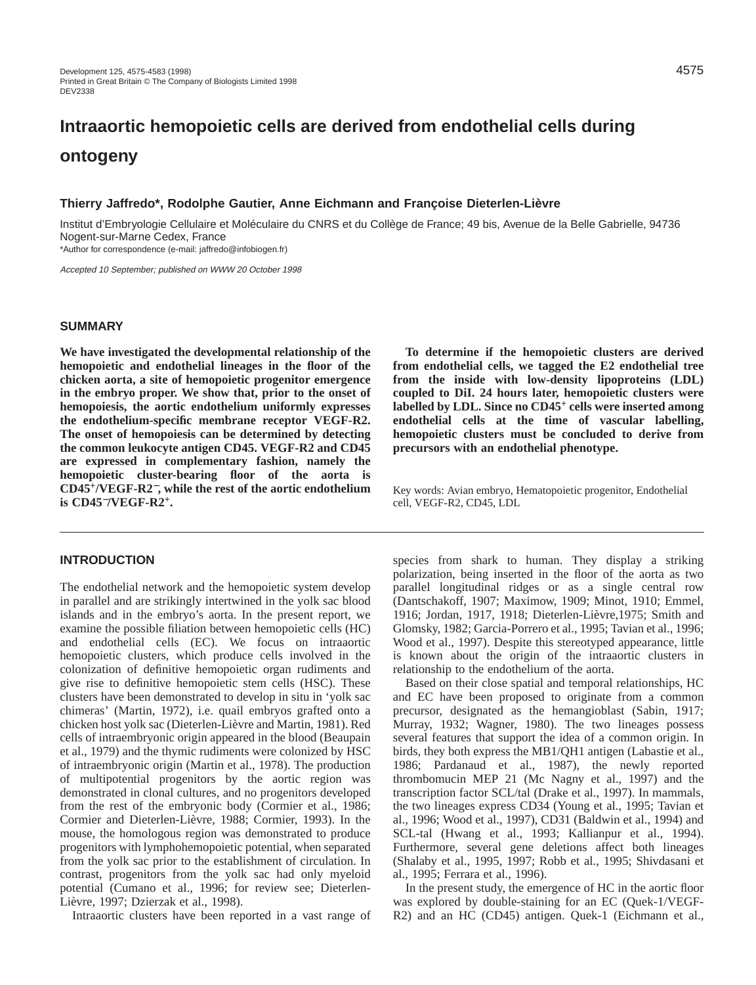# **Intraaortic hemopoietic cells are derived from endothelial cells during ontogeny**

# **Thierry Jaffredo\*, Rodolphe Gautier, Anne Eichmann and Françoise Dieterlen-Lièvre**

Institut d'Embryologie Cellulaire et Moléculaire du CNRS et du Collège de France; 49 bis, Avenue de la Belle Gabrielle, 94736 Nogent-sur-Marne Cedex, France

\*Author for correspondence (e-mail: jaffredo@infobiogen.fr)

Accepted 10 September; published on WWW 20 October 1998

# **SUMMARY**

**We have investigated the developmental relationship of the hemopoietic and endothelial lineages in the floor of the chicken aorta, a site of hemopoietic progenitor emergence in the embryo proper. We show that, prior to the onset of hemopoiesis, the aortic endothelium uniformly expresses the endothelium-specific membrane receptor VEGF-R2. The onset of hemopoiesis can be determined by detecting the common leukocyte antigen CD45. VEGF-R2 and CD45 are expressed in complementary fashion, namely the hemopoietic cluster-bearing floor of the aorta is CD45+/VEGF-R2**<sup>−</sup>**, while the rest of the aortic endothelium is CD45**−**/VEGF-R2+.**

# **INTRODUCTION**

The endothelial network and the hemopoietic system develop in parallel and are strikingly intertwined in the yolk sac blood islands and in the embryo's aorta. In the present report, we examine the possible filiation between hemopoietic cells (HC) and endothelial cells (EC). We focus on intraaortic hemopoietic clusters, which produce cells involved in the colonization of definitive hemopoietic organ rudiments and give rise to definitive hemopoietic stem cells (HSC). These clusters have been demonstrated to develop in situ in 'yolk sac chimeras' (Martin, 1972), i.e. quail embryos grafted onto a chicken host yolk sac (Dieterlen-Lièvre and Martin, 1981). Red cells of intraembryonic origin appeared in the blood (Beaupain et al., 1979) and the thymic rudiments were colonized by HSC of intraembryonic origin (Martin et al., 1978). The production of multipotential progenitors by the aortic region was demonstrated in clonal cultures, and no progenitors developed from the rest of the embryonic body (Cormier et al., 1986; Cormier and Dieterlen-Lièvre, 1988; Cormier, 1993). In the mouse, the homologous region was demonstrated to produce progenitors with lymphohemopoietic potential, when separated from the yolk sac prior to the establishment of circulation. In contrast, progenitors from the yolk sac had only myeloid potential (Cumano et al., 1996; for review see; Dieterlen-Lièvre, 1997; Dzierzak et al., 1998).

Intraaortic clusters have been reported in a vast range of

**To determine if the hemopoietic clusters are derived from endothelial cells, we tagged the E2 endothelial tree from the inside with low-density lipoproteins (LDL) coupled to DiI. 24 hours later, hemopoietic clusters were labelled by LDL. Since no CD45<sup>+</sup> cells were inserted among endothelial cells at the time of vascular labelling, hemopoietic clusters must be concluded to derive from precursors with an endothelial phenotype.** 

Key words: Avian embryo, Hematopoietic progenitor, Endothelial cell, VEGF-R2, CD45, LDL

species from shark to human. They display a striking polarization, being inserted in the floor of the aorta as two parallel longitudinal ridges or as a single central row (Dantschakoff, 1907; Maximow, 1909; Minot, 1910; Emmel, 1916; Jordan, 1917, 1918; Dieterlen-Lièvre,1975; Smith and Glomsky, 1982; Garcia-Porrero et al., 1995; Tavian et al., 1996; Wood et al., 1997). Despite this stereotyped appearance, little is known about the origin of the intraaortic clusters in relationship to the endothelium of the aorta.

Based on their close spatial and temporal relationships, HC and EC have been proposed to originate from a common precursor, designated as the hemangioblast (Sabin, 1917; Murray, 1932; Wagner, 1980). The two lineages possess several features that support the idea of a common origin. In birds, they both express the MB1/QH1 antigen (Labastie et al., 1986; Pardanaud et al., 1987), the newly reported thrombomucin MEP 21 (Mc Nagny et al., 1997) and the transcription factor SCL/tal (Drake et al., 1997). In mammals, the two lineages express CD34 (Young et al., 1995; Tavian et al., 1996; Wood et al., 1997), CD31 (Baldwin et al., 1994) and SCL-tal (Hwang et al., 1993; Kallianpur et al., 1994). Furthermore, several gene deletions affect both lineages (Shalaby et al., 1995, 1997; Robb et al., 1995; Shivdasani et al., 1995; Ferrara et al., 1996).

In the present study, the emergence of HC in the aortic floor was explored by double-staining for an EC (Quek-1/VEGF-R2) and an HC (CD45) antigen. Quek-1 (Eichmann et al.,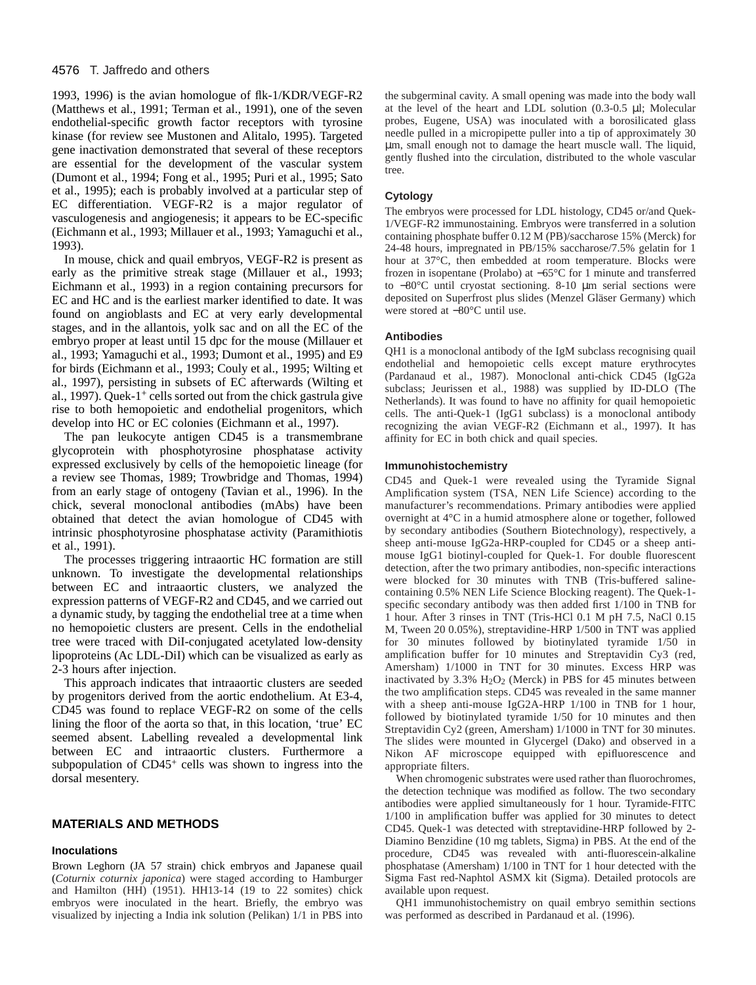## 4576 T. Jaffredo and others

1993, 1996) is the avian homologue of flk-1/KDR/VEGF-R2 (Matthews et al., 1991; Terman et al., 1991), one of the seven endothelial-specific growth factor receptors with tyrosine kinase (for review see Mustonen and Alitalo, 1995). Targeted gene inactivation demonstrated that several of these receptors are essential for the development of the vascular system (Dumont et al., 1994; Fong et al., 1995; Puri et al., 1995; Sato et al., 1995); each is probably involved at a particular step of EC differentiation. VEGF-R2 is a major regulator of vasculogenesis and angiogenesis; it appears to be EC-specific (Eichmann et al., 1993; Millauer et al., 1993; Yamaguchi et al., 1993).

In mouse, chick and quail embryos, VEGF-R2 is present as early as the primitive streak stage (Millauer et al., 1993; Eichmann et al., 1993) in a region containing precursors for EC and HC and is the earliest marker identified to date. It was found on angioblasts and EC at very early developmental stages, and in the allantois, yolk sac and on all the EC of the embryo proper at least until 15 dpc for the mouse (Millauer et al., 1993; Yamaguchi et al., 1993; Dumont et al., 1995) and E9 for birds (Eichmann et al., 1993; Couly et al., 1995; Wilting et al., 1997), persisting in subsets of EC afterwards (Wilting et al., 1997). Quek-1<sup>+</sup> cells sorted out from the chick gastrula give rise to both hemopoietic and endothelial progenitors, which develop into HC or EC colonies (Eichmann et al., 1997).

The pan leukocyte antigen CD45 is a transmembrane glycoprotein with phosphotyrosine phosphatase activity expressed exclusively by cells of the hemopoietic lineage (for a review see Thomas, 1989; Trowbridge and Thomas, 1994) from an early stage of ontogeny (Tavian et al., 1996). In the chick, several monoclonal antibodies (mAbs) have been obtained that detect the avian homologue of CD45 with intrinsic phosphotyrosine phosphatase activity (Paramithiotis et al., 1991).

The processes triggering intraaortic HC formation are still unknown. To investigate the developmental relationships between EC and intraaortic clusters, we analyzed the expression patterns of VEGF-R2 and CD45, and we carried out a dynamic study, by tagging the endothelial tree at a time when no hemopoietic clusters are present. Cells in the endothelial tree were traced with DiI-conjugated acetylated low-density lipoproteins (Ac LDL-DiI) which can be visualized as early as 2-3 hours after injection.

This approach indicates that intraaortic clusters are seeded by progenitors derived from the aortic endothelium. At E3-4, CD45 was found to replace VEGF-R2 on some of the cells lining the floor of the aorta so that, in this location, 'true' EC seemed absent. Labelling revealed a developmental link between EC and intraaortic clusters. Furthermore a subpopulation of CD45<sup>+</sup> cells was shown to ingress into the dorsal mesentery.

# **MATERIALS AND METHODS**

## **Inoculations**

Brown Leghorn (JA 57 strain) chick embryos and Japanese quail (*Coturnix coturnix japonica*) were staged according to Hamburger and Hamilton (HH) (1951). HH13-14 (19 to 22 somites) chick embryos were inoculated in the heart. Briefly, the embryo was visualized by injecting a India ink solution (Pelikan) 1/1 in PBS into

the subgerminal cavity. A small opening was made into the body wall at the level of the heart and LDL solution (0.3-0.5 µl; Molecular probes, Eugene, USA) was inoculated with a borosilicated glass needle pulled in a micropipette puller into a tip of approximately 30 µm, small enough not to damage the heart muscle wall. The liquid, gently flushed into the circulation, distributed to the whole vascular tree.

## **Cytology**

The embryos were processed for LDL histology, CD45 or/and Quek-1/VEGF-R2 immunostaining. Embryos were transferred in a solution containing phosphate buffer 0.12 M (PB)/saccharose 15% (Merck) for 24-48 hours, impregnated in PB/15% saccharose/7.5% gelatin for 1 hour at 37°C, then embedded at room temperature. Blocks were frozen in isopentane (Prolabo) at −65°C for 1 minute and transferred to −80°C until cryostat sectioning. 8-10 µm serial sections were deposited on Superfrost plus slides (Menzel Gläser Germany) which were stored at −80°C until use.

## **Antibodies**

QH1 is a monoclonal antibody of the IgM subclass recognising quail endothelial and hemopoietic cells except mature erythrocytes (Pardanaud et al., 1987). Monoclonal anti-chick CD45 (IgG2a subclass; Jeurissen et al., 1988) was supplied by ID-DLO (The Netherlands). It was found to have no affinity for quail hemopoietic cells. The anti-Quek-1 (IgG1 subclass) is a monoclonal antibody recognizing the avian VEGF-R2 (Eichmann et al., 1997). It has affinity for EC in both chick and quail species.

#### **Immunohistochemistry**

CD45 and Quek-1 were revealed using the Tyramide Signal Amplification system (TSA, NEN Life Science) according to the manufacturer's recommendations. Primary antibodies were applied overnight at 4°C in a humid atmosphere alone or together, followed by secondary antibodies (Southern Biotechnology), respectively, a sheep anti-mouse IgG2a-HRP-coupled for CD45 or a sheep antimouse IgG1 biotinyl-coupled for Quek-1. For double fluorescent detection, after the two primary antibodies, non-specific interactions were blocked for 30 minutes with TNB (Tris-buffered salinecontaining 0.5% NEN Life Science Blocking reagent). The Quek-1 specific secondary antibody was then added first 1/100 in TNB for 1 hour. After 3 rinses in TNT (Tris-HCl 0.1 M pH 7.5, NaCl 0.15 M, Tween 20 0.05%), streptavidine-HRP 1/500 in TNT was applied for 30 minutes followed by biotinylated tyramide 1/50 in amplification buffer for 10 minutes and Streptavidin Cy3 (red, Amersham) 1/1000 in TNT for 30 minutes. Excess HRP was inactivated by  $3.3\%$  H<sub>2</sub>O<sub>2</sub> (Merck) in PBS for 45 minutes between the two amplification steps. CD45 was revealed in the same manner with a sheep anti-mouse IgG2A-HRP 1/100 in TNB for 1 hour, followed by biotinylated tyramide 1/50 for 10 minutes and then Streptavidin Cy2 (green, Amersham) 1/1000 in TNT for 30 minutes. The slides were mounted in Glycergel (Dako) and observed in a Nikon AF microscope equipped with epifluorescence and appropriate filters.

When chromogenic substrates were used rather than fluorochromes, the detection technique was modified as follow. The two secondary antibodies were applied simultaneously for 1 hour. Tyramide-FITC 1/100 in amplification buffer was applied for 30 minutes to detect CD45. Quek-1 was detected with streptavidine-HRP followed by 2- Diamino Benzidine (10 mg tablets, Sigma) in PBS. At the end of the procedure, CD45 was revealed with anti-fluorescein-alkaline phosphatase (Amersham) 1/100 in TNT for 1 hour detected with the Sigma Fast red-Naphtol ASMX kit (Sigma). Detailed protocols are available upon request.

QH1 immunohistochemistry on quail embryo semithin sections was performed as described in Pardanaud et al. (1996).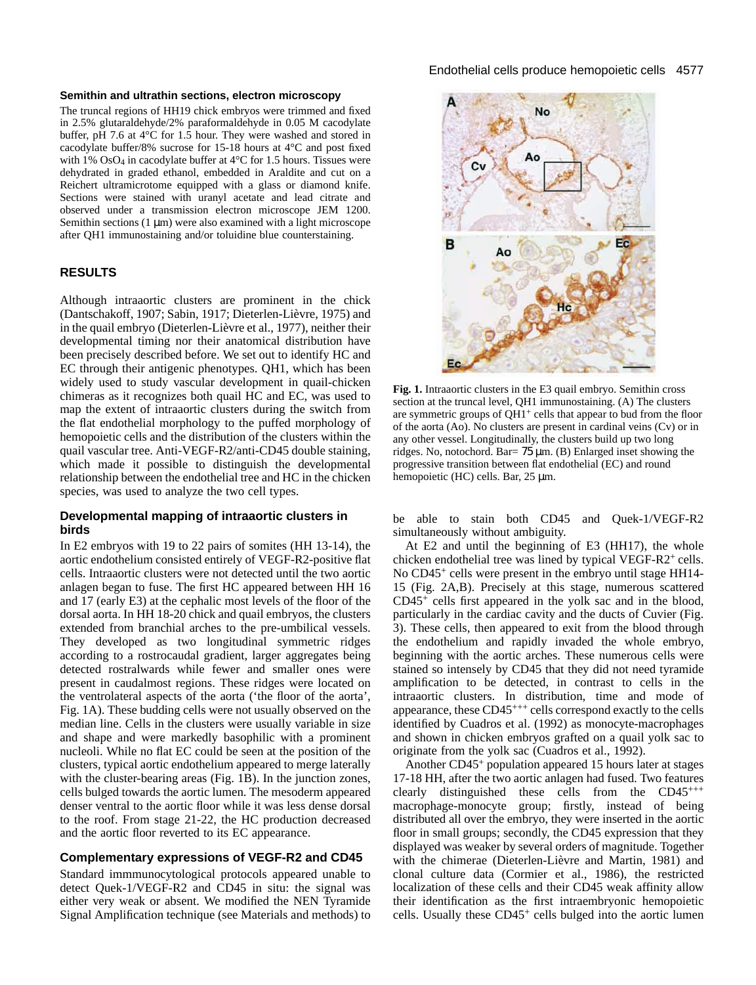## **Semithin and ultrathin sections, electron microscopy**

The truncal regions of HH19 chick embryos were trimmed and fixed in 2.5% glutaraldehyde/2% paraformaldehyde in 0.05 M cacodylate buffer, pH 7.6 at 4°C for 1.5 hour. They were washed and stored in cacodylate buffer/8% sucrose for 15-18 hours at 4°C and post fixed with  $1\%$  OsO<sub>4</sub> in cacodylate buffer at  $4^{\circ}$ C for 1.5 hours. Tissues were dehydrated in graded ethanol, embedded in Araldite and cut on a Reichert ultramicrotome equipped with a glass or diamond knife. Sections were stained with uranyl acetate and lead citrate and observed under a transmission electron microscope JEM 1200. Semithin sections  $(1 \mu m)$  were also examined with a light microscope after QH1 immunostaining and/or toluidine blue counterstaining.

# **RESULTS**

Although intraaortic clusters are prominent in the chick (Dantschakoff, 1907; Sabin, 1917; Dieterlen-Lièvre, 1975) and in the quail embryo (Dieterlen-Lièvre et al., 1977), neither their developmental timing nor their anatomical distribution have been precisely described before. We set out to identify HC and EC through their antigenic phenotypes. QH1, which has been widely used to study vascular development in quail-chicken chimeras as it recognizes both quail HC and EC, was used to map the extent of intraaortic clusters during the switch from the flat endothelial morphology to the puffed morphology of hemopoietic cells and the distribution of the clusters within the quail vascular tree. Anti-VEGF-R2/anti-CD45 double staining, which made it possible to distinguish the developmental relationship between the endothelial tree and HC in the chicken species, was used to analyze the two cell types.

# **Developmental mapping of intraaortic clusters in birds**

In E2 embryos with 19 to 22 pairs of somites (HH 13-14), the aortic endothelium consisted entirely of VEGF-R2-positive flat cells. Intraaortic clusters were not detected until the two aortic anlagen began to fuse. The first HC appeared between HH 16 and 17 (early E3) at the cephalic most levels of the floor of the dorsal aorta. In HH 18-20 chick and quail embryos, the clusters extended from branchial arches to the pre-umbilical vessels. They developed as two longitudinal symmetric ridges according to a rostrocaudal gradient, larger aggregates being detected rostralwards while fewer and smaller ones were present in caudalmost regions. These ridges were located on the ventrolateral aspects of the aorta ('the floor of the aorta', Fig. 1A). These budding cells were not usually observed on the median line. Cells in the clusters were usually variable in size and shape and were markedly basophilic with a prominent nucleoli. While no flat EC could be seen at the position of the clusters, typical aortic endothelium appeared to merge laterally with the cluster-bearing areas (Fig. 1B). In the junction zones, cells bulged towards the aortic lumen. The mesoderm appeared denser ventral to the aortic floor while it was less dense dorsal to the roof. From stage 21-22, the HC production decreased and the aortic floor reverted to its EC appearance.

# **Complementary expressions of VEGF-R2 and CD45**

Standard immmunocytological protocols appeared unable to detect Quek-1/VEGF-R2 and CD45 in situ: the signal was either very weak or absent. We modified the NEN Tyramide Signal Amplification technique (see Materials and methods) to



**Fig. 1.** Intraaortic clusters in the E3 quail embryo. Semithin cross section at the truncal level, QH1 immunostaining. (A) The clusters are symmetric groups of QH1<sup>+</sup> cells that appear to bud from the floor of the aorta (Ao). No clusters are present in cardinal veins (Cv) or in any other vessel. Longitudinally, the clusters build up two long ridges. No, notochord. Bar= 75 µm. (B) Enlarged inset showing the progressive transition between flat endothelial (EC) and round hemopoietic (HC) cells. Bar, 25 µm.

be able to stain both CD45 and Quek-1/VEGF-R2 simultaneously without ambiguity.

At E2 and until the beginning of E3 (HH17), the whole chicken endothelial tree was lined by typical VEGF-R2+ cells. No CD45<sup>+</sup> cells were present in the embryo until stage HH14-15 (Fig. 2A,B). Precisely at this stage, numerous scattered  $CD45<sup>+</sup>$  cells first appeared in the yolk sac and in the blood, particularly in the cardiac cavity and the ducts of Cuvier (Fig. 3). These cells, then appeared to exit from the blood through the endothelium and rapidly invaded the whole embryo, beginning with the aortic arches. These numerous cells were stained so intensely by CD45 that they did not need tyramide amplification to be detected, in contrast to cells in the intraaortic clusters. In distribution, time and mode of appearance, these CD45+++ cells correspond exactly to the cells identified by Cuadros et al. (1992) as monocyte-macrophages and shown in chicken embryos grafted on a quail yolk sac to originate from the yolk sac (Cuadros et al., 1992).

Another CD45<sup>+</sup> population appeared 15 hours later at stages 17-18 HH, after the two aortic anlagen had fused. Two features clearly distinguished these cells from the CD45+++ macrophage-monocyte group; firstly, instead of being distributed all over the embryo, they were inserted in the aortic floor in small groups; secondly, the CD45 expression that they displayed was weaker by several orders of magnitude. Together with the chimerae (Dieterlen-Lièvre and Martin, 1981) and clonal culture data (Cormier et al., 1986), the restricted localization of these cells and their CD45 weak affinity allow their identification as the first intraembryonic hemopoietic cells. Usually these CD45<sup>+</sup> cells bulged into the aortic lumen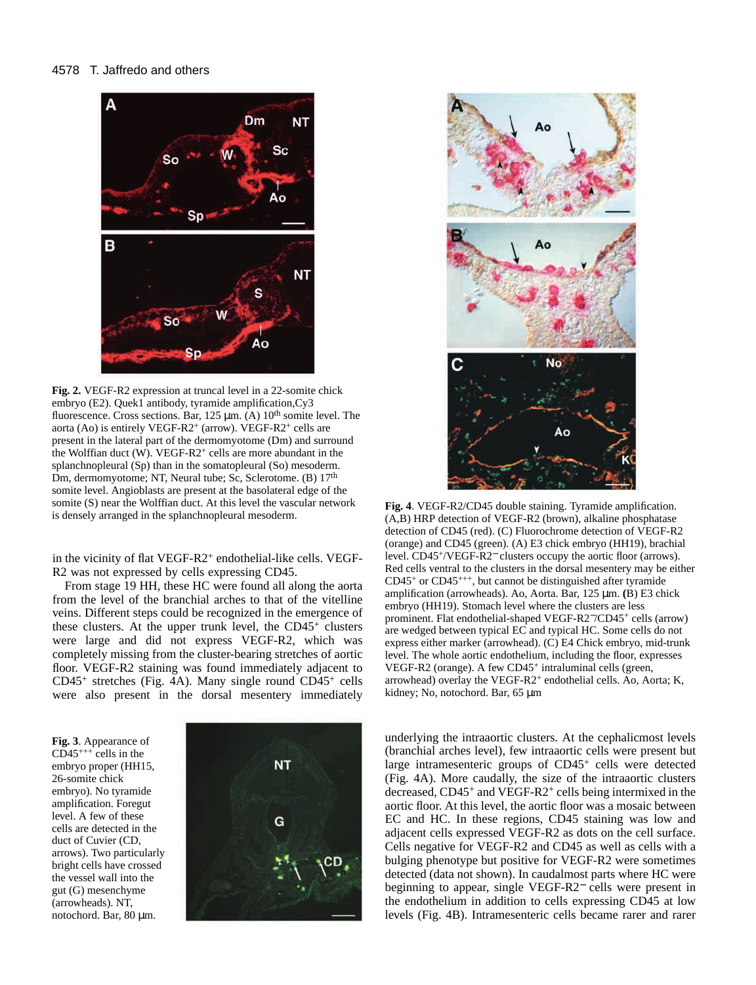## 4578 T. Jaffredo and others



**Fig. 2.** VEGF-R2 expression at truncal level in a 22-somite chick embryo (E2). Quek1 antibody, tyramide amplification,Cy3 fluorescence. Cross sections. Bar,  $125 \mu m$ . (A)  $10^{th}$  somite level. The aorta (Ao) is entirely VEGF-R2+ (arrow). VEGF-R2+ cells are present in the lateral part of the dermomyotome (Dm) and surround the Wolffian duct  $(W)$ . VEGF-R2<sup>+</sup> cells are more abundant in the splanchnopleural (Sp) than in the somatopleural (So) mesoderm. Dm, dermomyotome; NT, Neural tube; Sc, Sclerotome. (B) 17<sup>th</sup> somite level. Angioblasts are present at the basolateral edge of the somite (S) near the Wolffian duct. At this level the vascular network is densely arranged in the splanchnopleural mesoderm.

in the vicinity of flat VEGF-R2<sup>+</sup> endothelial-like cells. VEGF-R2 was not expressed by cells expressing CD45.

From stage 19 HH, these HC were found all along the aorta from the level of the branchial arches to that of the vitelline veins. Different steps could be recognized in the emergence of these clusters. At the upper trunk level, the CD45<sup>+</sup> clusters were large and did not express VEGF-R2, which was completely missing from the cluster-bearing stretches of aortic floor. VEGF-R2 staining was found immediately adjacent to  $CD45<sup>+</sup>$  stretches (Fig. 4A). Many single round  $CD45<sup>+</sup>$  cells were also present in the dorsal mesentery immediately

**Fig. 3**. Appearance of  $CD45***$  cells in the embryo proper (HH15, 26-somite chick embryo). No tyramide amplification. Foregut level. A few of these cells are detected in the duct of Cuvier (CD, arrows). Two particularly bright cells have crossed the vessel wall into the gut (G) mesenchyme (arrowheads). NT, notochord. Bar, 80 µm.





**Fig. 4**. VEGF-R2/CD45 double staining. Tyramide amplification. (A,B) HRP detection of VEGF-R2 (brown), alkaline phosphatase detection of CD45 (red). (C) Fluorochrome detection of VEGF-R2 (orange) and CD45 (green). (A) E3 chick embryo (HH19), brachial level. CD45+/VEGF-R2<sup>−</sup> clusters occupy the aortic floor (arrows). Red cells ventral to the clusters in the dorsal mesentery may be either  $CD45^+$  or  $CD45^{+++}$ , but cannot be distinguished after tyramide amplification (arrowheads). Ao, Aorta. Bar, 125 µm. **(**B) E3 chick embryo (HH19). Stomach level where the clusters are less prominent. Flat endothelial-shaped VEGF-R2−/CD45<sup>+</sup> cells (arrow) are wedged between typical EC and typical HC. Some cells do not express either marker (arrowhead). (C) E4 Chick embryo, mid-trunk level. The whole aortic endothelium, including the floor, expresses VEGF-R2 (orange). A few CD45<sup>+</sup> intraluminal cells (green, arrowhead) overlay the VEGF-R2<sup>+</sup> endothelial cells. Ao, Aorta; K, kidney; No, notochord. Bar, 65 µm

underlying the intraaortic clusters. At the cephalicmost levels (branchial arches level), few intraaortic cells were present but large intramesenteric groups of CD45+ cells were detected (Fig. 4A). More caudally, the size of the intraaortic clusters decreased, CD45+ and VEGF-R2<sup>+</sup> cells being intermixed in the aortic floor. At this level, the aortic floor was a mosaic between EC and HC. In these regions, CD45 staining was low and adjacent cells expressed VEGF-R2 as dots on the cell surface. Cells negative for VEGF-R2 and CD45 as well as cells with a bulging phenotype but positive for VEGF-R2 were sometimes detected (data not shown). In caudalmost parts where HC were beginning to appear, single VEGF-R2<sup>−</sup> cells were present in the endothelium in addition to cells expressing CD45 at low levels (Fig. 4B). Intramesenteric cells became rarer and rarer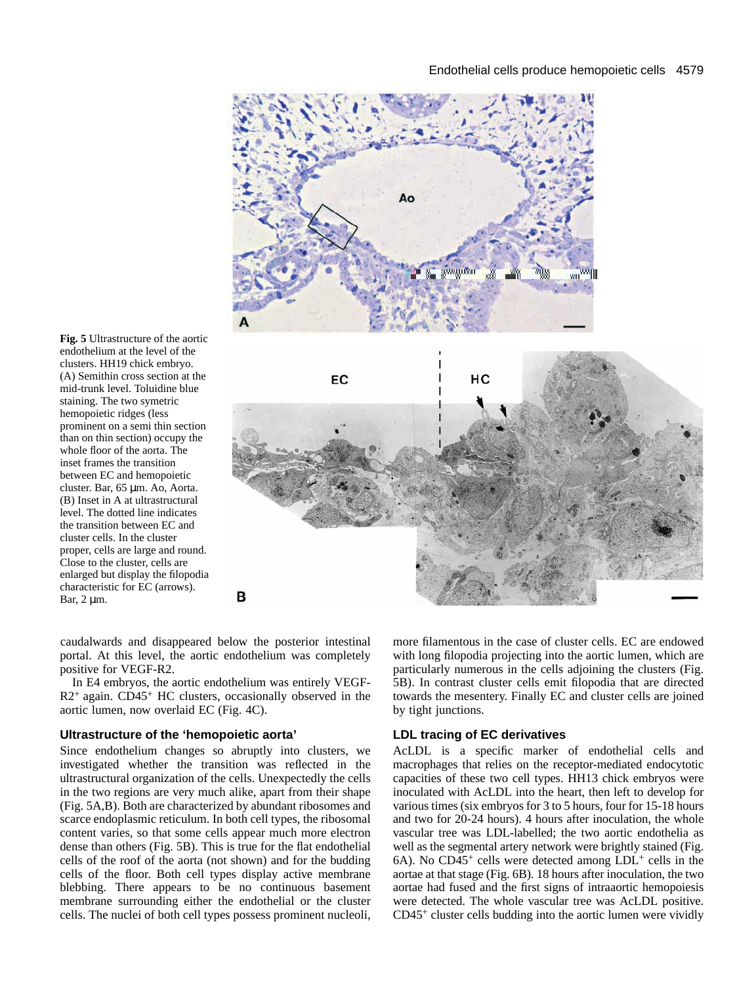

**Fig. 5** Ultrastructure of the aortic endothelium at the level of the clusters. HH19 chick embryo. (A) Semithin cross section at the mid-trunk level. Toluidine blue staining. The two symetric hemopoietic ridges (less prominent on a semi thin section than on thin section) occupy the whole floor of the aorta. The inset frames the transition between EC and hemopoietic cluster. Bar, 65 µm. Ao, Aorta. (B) Inset in A at ultrastructural level. The dotted line indicates the transition between EC and cluster cells. In the cluster proper, cells are large and round. Close to the cluster, cells are enlarged but display the filopodia characteristic for EC (arrows). Bar, 2 µm.

caudalwards and disappeared below the posterior intestinal portal. At this level, the aortic endothelium was completely positive for VEGF-R2.

In E4 embryos, the aortic endothelium was entirely VEGF- $R2$ <sup>+</sup> again. CD45<sup>+</sup> HC clusters, occasionally observed in the aortic lumen, now overlaid EC (Fig. 4C).

## **Ultrastructure of the 'hemopoietic aorta'**

Since endothelium changes so abruptly into clusters, we investigated whether the transition was reflected in the ultrastructural organization of the cells. Unexpectedly the cells in the two regions are very much alike, apart from their shape (Fig. 5A,B). Both are characterized by abundant ribosomes and scarce endoplasmic reticulum. In both cell types, the ribosomal content varies, so that some cells appear much more electron dense than others (Fig. 5B). This is true for the flat endothelial cells of the roof of the aorta (not shown) and for the budding cells of the floor. Both cell types display active membrane blebbing. There appears to be no continuous basement membrane surrounding either the endothelial or the cluster cells. The nuclei of both cell types possess prominent nucleoli, more filamentous in the case of cluster cells. EC are endowed with long filopodia projecting into the aortic lumen, which are particularly numerous in the cells adjoining the clusters (Fig. 5B). In contrast cluster cells emit filopodia that are directed towards the mesentery. Finally EC and cluster cells are joined by tight junctions.

# **LDL tracing of EC derivatives**

AcLDL is a specific marker of endothelial cells and macrophages that relies on the receptor-mediated endocytotic capacities of these two cell types. HH13 chick embryos were inoculated with AcLDL into the heart, then left to develop for various times (six embryos for 3 to 5 hours, four for 15-18 hours and two for 20-24 hours). 4 hours after inoculation, the whole vascular tree was LDL-labelled; the two aortic endothelia as well as the segmental artery network were brightly stained (Fig.  $6A$ ). No CD45<sup>+</sup> cells were detected among LDL<sup>+</sup> cells in the aortae at that stage (Fig. 6B). 18 hours after inoculation, the two aortae had fused and the first signs of intraaortic hemopoiesis were detected. The whole vascular tree was AcLDL positive. CD45+ cluster cells budding into the aortic lumen were vividly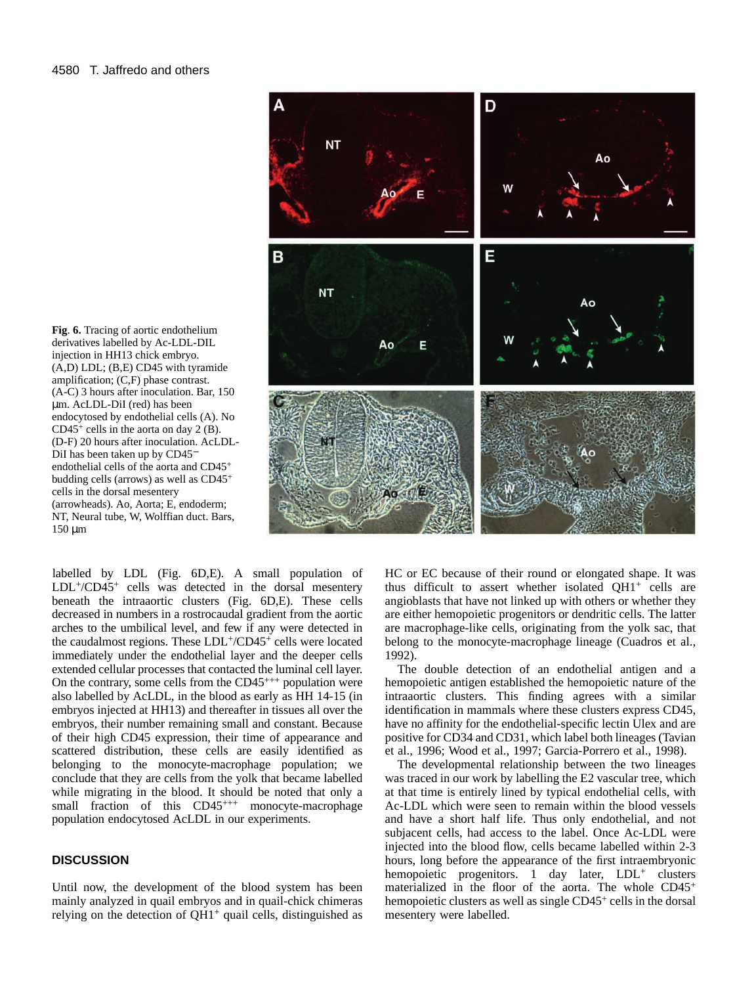**Fig**. **6.** Tracing of aortic endothelium derivatives labelled by Ac-LDL-DIL injection in HH13 chick embryo. (A,D) LDL; (B,E) CD45 with tyramide amplification; (C,F) phase contrast. (A-C) 3 hours after inoculation. Bar, 150 µm. AcLDL-DiI (red) has been endocytosed by endothelial cells (A). No  $CD45<sup>+</sup>$  cells in the aorta on day 2 (B). (D-F) 20 hours after inoculation. AcLDL-DiI has been taken up by CD45<sup>−</sup> endothelial cells of the aorta and CD45<sup>+</sup> budding cells (arrows) as well as CD45<sup>+</sup> cells in the dorsal mesentery (arrowheads). Ao, Aorta; E, endoderm; NT, Neural tube, W, Wolffian duct. Bars, 150 µm

labelled by LDL (Fig. 6D,E). A small population of LDL+/CD45+ cells was detected in the dorsal mesentery beneath the intraaortic clusters (Fig. 6D,E). These cells decreased in numbers in a rostrocaudal gradient from the aortic arches to the umbilical level, and few if any were detected in the caudalmost regions. These LDL+/CD45+ cells were located immediately under the endothelial layer and the deeper cells extended cellular processes that contacted the luminal cell layer. On the contrary, some cells from the  $CD45^{+++}$  population were also labelled by AcLDL, in the blood as early as HH 14-15 (in embryos injected at HH13) and thereafter in tissues all over the embryos, their number remaining small and constant. Because of their high CD45 expression, their time of appearance and scattered distribution, these cells are easily identified as belonging to the monocyte-macrophage population; we conclude that they are cells from the yolk that became labelled while migrating in the blood. It should be noted that only a small fraction of this  $CD45^{+++}$  monocyte-macrophage population endocytosed AcLDL in our experiments.

# **DISCUSSION**

Until now, the development of the blood system has been mainly analyzed in quail embryos and in quail-chick chimeras relying on the detection of  $QH1$ <sup>+</sup> quail cells, distinguished as



HC or EC because of their round or elongated shape. It was thus difficult to assert whether isolated QH1+ cells are angioblasts that have not linked up with others or whether they are either hemopoietic progenitors or dendritic cells. The latter are macrophage-like cells, originating from the yolk sac, that belong to the monocyte-macrophage lineage (Cuadros et al., 1992).

The double detection of an endothelial antigen and a hemopoietic antigen established the hemopoietic nature of the intraaortic clusters. This finding agrees with a similar identification in mammals where these clusters express CD45, have no affinity for the endothelial-specific lectin Ulex and are positive for CD34 and CD31, which label both lineages (Tavian et al., 1996; Wood et al., 1997; Garcia-Porrero et al., 1998).

The developmental relationship between the two lineages was traced in our work by labelling the E2 vascular tree, which at that time is entirely lined by typical endothelial cells, with Ac-LDL which were seen to remain within the blood vessels and have a short half life. Thus only endothelial, and not subjacent cells, had access to the label. Once Ac-LDL were injected into the blood flow, cells became labelled within 2-3 hours, long before the appearance of the first intraembryonic hemopoietic progenitors. 1 day later, LDL<sup>+</sup> clusters materialized in the floor of the aorta. The whole CD45<sup>+</sup> hemopoietic clusters as well as single CD45<sup>+</sup> cells in the dorsal mesentery were labelled.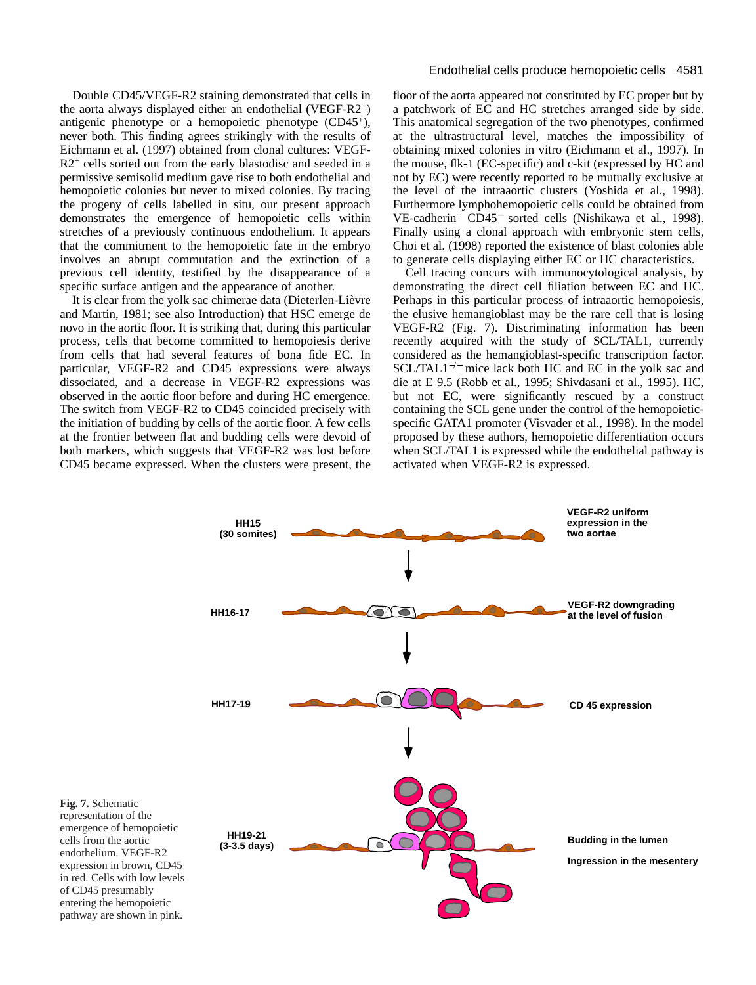Double CD45/VEGF-R2 staining demonstrated that cells in the aorta always displayed either an endothelial (VEGF-R2+) antigenic phenotype or a hemopoietic phenotype (CD45+), never both. This finding agrees strikingly with the results of Eichmann et al. (1997) obtained from clonal cultures: VEGF- $R2<sup>+</sup>$  cells sorted out from the early blastodisc and seeded in a permissive semisolid medium gave rise to both endothelial and hemopoietic colonies but never to mixed colonies. By tracing the progeny of cells labelled in situ, our present approach demonstrates the emergence of hemopoietic cells within stretches of a previously continuous endothelium. It appears that the commitment to the hemopoietic fate in the embryo involves an abrupt commutation and the extinction of a previous cell identity, testified by the disappearance of a specific surface antigen and the appearance of another.

It is clear from the yolk sac chimerae data (Dieterlen-Lièvre and Martin, 1981; see also Introduction) that HSC emerge de novo in the aortic floor. It is striking that, during this particular process, cells that become committed to hemopoiesis derive from cells that had several features of bona fide EC. In particular, VEGF-R2 and CD45 expressions were always dissociated, and a decrease in VEGF-R2 expressions was observed in the aortic floor before and during HC emergence. The switch from VEGF-R2 to CD45 coincided precisely with the initiation of budding by cells of the aortic floor. A few cells at the frontier between flat and budding cells were devoid of both markers, which suggests that VEGF-R2 was lost before CD45 became expressed. When the clusters were present, the

## Endothelial cells produce hemopoietic cells 4581

floor of the aorta appeared not constituted by EC proper but by a patchwork of EC and HC stretches arranged side by side. This anatomical segregation of the two phenotypes, confirmed at the ultrastructural level, matches the impossibility of obtaining mixed colonies in vitro (Eichmann et al., 1997). In the mouse, flk-1 (EC-specific) and c-kit (expressed by HC and not by EC) were recently reported to be mutually exclusive at the level of the intraaortic clusters (Yoshida et al., 1998). Furthermore lymphohemopoietic cells could be obtained from VE-cadherin+ CD45<sup>−</sup> sorted cells (Nishikawa et al., 1998). Finally using a clonal approach with embryonic stem cells, Choi et al. (1998) reported the existence of blast colonies able to generate cells displaying either EC or HC characteristics.

Cell tracing concurs with immunocytological analysis, by demonstrating the direct cell filiation between EC and HC. Perhaps in this particular process of intraaortic hemopoiesis, the elusive hemangioblast may be the rare cell that is losing VEGF-R2 (Fig. 7). Discriminating information has been recently acquired with the study of SCL/TAL1, currently considered as the hemangioblast-specific transcription factor. SCL/TAL1<sup>-/−</sup> mice lack both HC and EC in the yolk sac and die at E 9.5 (Robb et al., 1995; Shivdasani et al., 1995). HC, but not EC, were significantly rescued by a construct containing the SCL gene under the control of the hemopoieticspecific GATA1 promoter (Visvader et al., 1998). In the model proposed by these authors, hemopoietic differentiation occurs when SCL/TAL1 is expressed while the endothelial pathway is activated when VEGF-R2 is expressed.

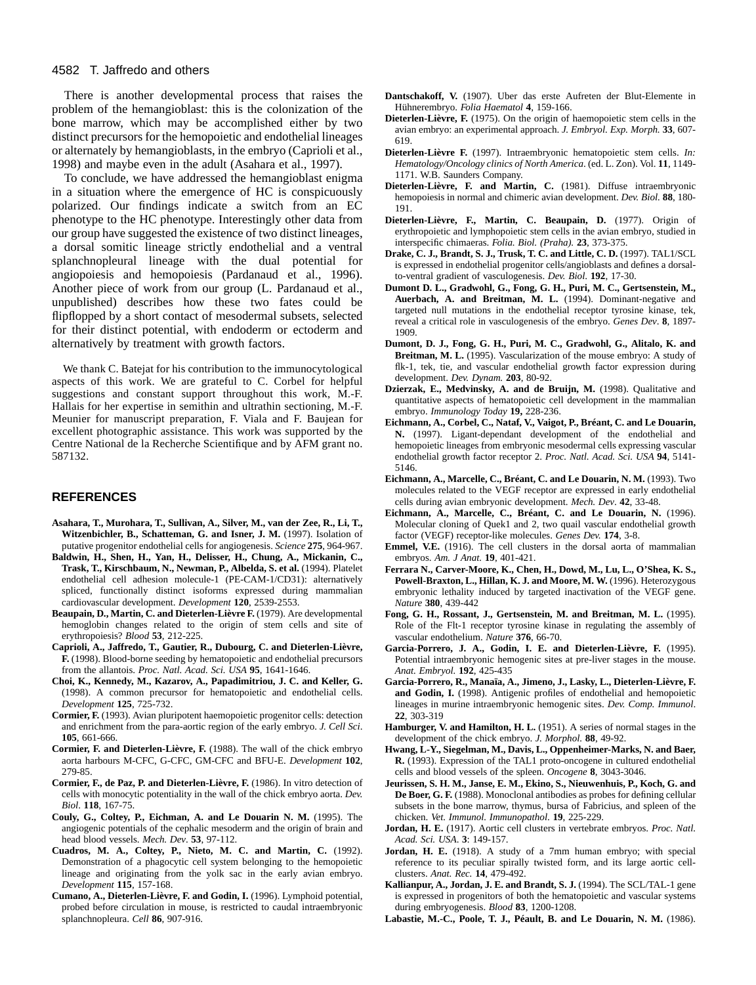## 4582 T. Jaffredo and others

There is another developmental process that raises the problem of the hemangioblast: this is the colonization of the bone marrow, which may be accomplished either by two distinct precursors for the hemopoietic and endothelial lineages or alternately by hemangioblasts, in the embryo (Caprioli et al., 1998) and maybe even in the adult (Asahara et al., 1997).

To conclude, we have addressed the hemangioblast enigma in a situation where the emergence of HC is conspicuously polarized. Our findings indicate a switch from an EC phenotype to the HC phenotype. Interestingly other data from our group have suggested the existence of two distinct lineages, a dorsal somitic lineage strictly endothelial and a ventral splanchnopleural lineage with the dual potential for angiopoiesis and hemopoiesis (Pardanaud et al., 1996). Another piece of work from our group (L. Pardanaud et al., unpublished) describes how these two fates could be flipflopped by a short contact of mesodermal subsets, selected for their distinct potential, with endoderm or ectoderm and alternatively by treatment with growth factors.

We thank C. Batejat for his contribution to the immunocytological aspects of this work. We are grateful to C. Corbel for helpful suggestions and constant support throughout this work, M.-F. Hallais for her expertise in semithin and ultrathin sectioning, M.-F. Meunier for manuscript preparation, F. Viala and F. Baujean for excellent photographic assistance. This work was supported by the Centre National de la Recherche Scientifique and by AFM grant no. 587132.

# **REFERENCES**

- **Asahara, T., Murohara, T., Sullivan, A., Silver, M., van der Zee, R., Li, T., Witzenbichler, B., Schatteman, G. and Isner, J. M.** (1997). Isolation of putative progenitor endothelial cells for angiogenesis. *Science* **275**, 964-967.
- **Baldwin, H., Shen, H., Yan, H., Delisser, H., Chung, A., Mickanin, C., Trask, T., Kirschbaum, N., Newman, P., Albelda, S. et al.** (1994). Platelet endothelial cell adhesion molecule-1 (PE-CAM-1/CD31): alternatively spliced, functionally distinct isoforms expressed during mammalian cardiovascular development. *Development* **120**, 2539-2553.
- **Beaupain, D., Martin, C. and Dieterlen-Lièvre F.** (1979). Are developmental hemoglobin changes related to the origin of stem cells and site of erythropoiesis? *Blood* **53**, 212-225.
- **Caprioli, A., Jaffredo, T., Gautier, R., Dubourg, C. and Dieterlen-Lièvre, F.** (1998). Blood-borne seeding by hematopoietic and endothelial precursors from the allantois. *Proc. Natl. Acad. Sci. USA* **95**, 1641-1646.
- **Choi, K., Kennedy, M., Kazarov, A., Papadimitriou, J. C. and Keller, G.** (1998). A common precursor for hematopoietic and endothelial cells. *Development* **125**, 725-732.
- **Cormier, F.** (1993). Avian pluripotent haemopoietic progenitor cells: detection and enrichment from the para-aortic region of the early embryo. *J. Cell Sci*. **105**, 661-666.
- **Cormier, F. and Dieterlen-Lièvre, F.** (1988). The wall of the chick embryo aorta harbours M-CFC, G-CFC, GM-CFC and BFU-E. *Development* **102**, 279-85.
- **Cormier, F., de Paz, P. and Dieterlen-Lièvre, F.** (1986). In vitro detection of cells with monocytic potentiality in the wall of the chick embryo aorta. *Dev. Biol*. **118**, 167-75.
- **Couly, G., Coltey, P., Eichman, A. and Le Douarin N. M.** (1995). The angiogenic potentials of the cephalic mesoderm and the origin of brain and head blood vessels. *Mech. Dev*. **53**, 97-112.
- **Cuadros, M. A., Coltey, P., Nieto, M. C. and Martin, C.** (1992). Demonstration of a phagocytic cell system belonging to the hemopoietic lineage and originating from the yolk sac in the early avian embryo. *Development* **115**, 157-168.
- **Cumano, A., Dieterlen-Lièvre, F. and Godin, I.** (1996). Lymphoid potential, probed before circulation in mouse, is restricted to caudal intraembryonic splanchnopleura. *Cell* **86**, 907-916.
- **Dantschakoff, V.** (1907). Uber das erste Aufreten der Blut-Elemente in Hühnerembryo. *Folia Haematol* **4**, 159-166.
- **Dieterlen-Lièvre, F.** (1975). On the origin of haemopoietic stem cells in the avian embryo: an experimental approach. *J. Embryol. Exp. Morph.* **33**, 607- 619.
- **Dieterlen-Lièvre F.** (1997). Intraembryonic hematopoietic stem cells. *In: Hematology/Oncology clinics of North America*. (ed. L. Zon). Vol. **11**, 1149- 1171. W.B. Saunders Company.
- **Dieterlen-Lièvre, F. and Martin, C.** (1981). Diffuse intraembryonic hemopoiesis in normal and chimeric avian development. *Dev. Biol.* **88**, 180- 191.
- **Dieterlen-Lièvre, F., Martin, C. Beaupain, D.** (1977). Origin of erythropoietic and lymphopoietic stem cells in the avian embryo, studied in interspecific chimaeras. *Folia. Biol. (Praha).* **23**, 373-375.
- **Drake, C. J., Brandt, S. J., Trusk, T. C. and Little, C. D.** (1997). TAL1/SCL is expressed in endothelial progenitor cells/angioblasts and defines a dorsalto-ventral gradient of vasculogenesis. *Dev. Biol*. **192**, 17-30.
- **Dumont D. L., Gradwohl, G., Fong, G. H., Puri, M. C., Gertsenstein, M., Auerbach, A. and Breitman, M. L.** (1994). Dominant-negative and targeted null mutations in the endothelial receptor tyrosine kinase, tek, reveal a critical role in vasculogenesis of the embryo. *Genes Dev*. **8**, 1897- 1909.
- **Dumont, D. J., Fong, G. H., Puri, M. C., Gradwohl, G., Alitalo, K. and Breitman, M. L.** (1995). Vascularization of the mouse embryo: A study of flk-1, tek, tie, and vascular endothelial growth factor expression during development. *Dev. Dynam.* **203**, 80-92.
- Dzierzak, E., Medvinsky, A. and de Bruijn, M. (1998). Qualitative and quantitative aspects of hematopoietic cell development in the mammalian embryo. *Immunology Today* **19,** 228-236.
- **Eichmann, A., Corbel, C., Nataf, V., Vaigot, P., Bréant, C. and Le Douarin, N.** (1997). Ligant-dependant development of the endothelial and hemopoietic lineages from embryonic mesodermal cells expressing vascular endothelial growth factor receptor 2. *Proc. Natl. Acad. Sci. USA* **94**, 5141- 5146.
- **Eichmann, A., Marcelle, C., Bréant, C. and Le Douarin, N. M.** (1993). Two molecules related to the VEGF receptor are expressed in early endothelial cells during avian embryonic development. *Mech. Dev*. **42**, 33-48.
- **Eichmann, A., Marcelle, C., Bréant, C. and Le Douarin, N.** (1996). Molecular cloning of Quek1 and 2, two quail vascular endothelial growth factor (VEGF) receptor-like molecules. *Genes Dev.* **174**, 3-8.
- **Emmel, V.E.** (1916). The cell clusters in the dorsal aorta of mammalian embryos. *Am. J Anat.* **19**, 401-421.
- **Ferrara N., Carver-Moore, K., Chen, H., Dowd, M., Lu, L., O'Shea, K. S., Powell-Braxton, L., Hillan, K. J. and Moore, M. W.** (1996). Heterozygous embryonic lethality induced by targeted inactivation of the VEGF gene. *Nature* **380**, 439-442
- **Fong, G. H., Rossant, J., Gertsenstein, M. and Breitman, M. L.** (1995). Role of the Flt-1 receptor tyrosine kinase in regulating the assembly of vascular endothelium. *Nature* **376**, 66-70.
- **Garcia-Porrero, J. A., Godin, I. E. and Dieterlen-Lièvre, F.** (1995). Potential intraembryonic hemogenic sites at pre-liver stages in the mouse. *Anat. Embryol.* **192**, 425-435
- **Garcia-Porrero, R., Manaïa, A., Jimeno, J., Lasky, L., Dieterlen-Lièvre, F.** and Godin, I. (1998). Antigenic profiles of endothelial and hemopoietic lineages in murine intraembryonic hemogenic sites. *Dev. Comp. Immunol*. **22**, 303-319
- **Hamburger, V. and Hamilton, H. L.** (1951). A series of normal stages in the development of the chick embryo. *J. Morphol.* **88**, 49-92.
- **Hwang, L-Y., Siegelman, M., Davis, L., Oppenheimer-Marks, N. and Baer, R.** (1993). Expression of the TAL1 proto-oncogene in cultured endothelial cells and blood vessels of the spleen. *Oncogene* **8**, 3043-3046.
- **Jeurissen, S. H. M., Janse, E. M., Ekino, S., Nieuwenhuis, P., Koch, G. and De Boer, G. F.** (1988). Monoclonal antibodies as probes for defining cellular subsets in the bone marrow, thymus, bursa of Fabricius, and spleen of the chicken. *Vet. Immunol. Immunopathol*. **19**, 225-229.
- **Jordan, H. E.** (1917). Aortic cell clusters in vertebrate embryos. *Proc. Natl. Acad. Sci. USA*. **3**: 149-157.
- Jordan, H. E. (1918). A study of a 7mm human embryo; with special reference to its peculiar spirally twisted form, and its large aortic cellclusters. *Anat. Rec.* **14**, 479-492.
- **Kallianpur, A., Jordan, J. E. and Brandt, S. J.** (1994). The SCL/TAL-1 gene is expressed in progenitors of both the hematopoietic and vascular systems during embryogenesis. *Blood* **83**, 1200-1208.
- **Labastie, M.-C., Poole, T. J., Péault, B. and Le Douarin, N. M.** (1986).